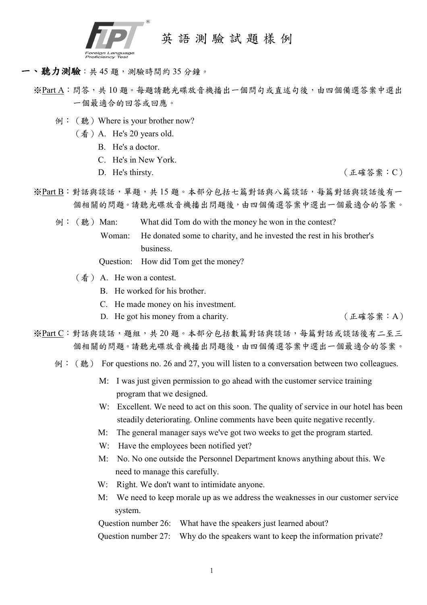

英 語 測 驗 試 題 樣 例

## 一、聽力測驗: 共 45 題, 測驗時間約 35 分鐘。

- ※Part A: 問答, 共10題。每題請聽光碟放音機播出一個問句或直述句後,由四個備選答案中選出 一個最適合的回答或回應。
	- 例: (聽) Where is your brother now?
		- $(\frac{\text{f}}{\text{f}})$  A. He's 20 years old.
			- B. He's a doctor.
			- C. He's in New York.
			-

D. He's thirsty. (正確答案: C)

- ※Part B:對話與談話,單題,共 15 題。本部分包括七篇對話與八篇談話,每篇對話與談話後有一 個相關的問題。請聽光碟放音機播出問題後,由四個備選答案中選出一個最適合的答案。
	- 例: (聽) Man: What did Tom do with the money he won in the contest? Woman: He donated some to charity, and he invested the rest in his brother's business.

Question: How did Tom get the money?

- (看) A. He won a contest.
	- B. He worked for his brother.
	- C. He made money on his investment.
	- D. He got his money from a charity. (正確答案: A)
- ※Part C:對話與談話,題組,共20題。本部分包括數篇對話與談話,每篇對話或談話後有二至三 個相關的問題。請聽光碟放音機播出問題後,由四個備選答案中選出一個最適合的答案。
	- 例: (聽) For questions no. 26 and 27, you will listen to a conversation between two colleagues.
		- M: I was just given permission to go ahead with the customer service training program that we designed.
		- W: Excellent. We need to act on this soon. The quality of service in our hotel has been steadily deteriorating. Online comments have been quite negative recently.
		- M: The general manager says we've got two weeks to get the program started.
		- W: Have the employees been notified yet?
		- M: No. No one outside the Personnel Department knows anything about this. We need to manage this carefully.
		- W: Right. We don't want to intimidate anyone.
		- M: We need to keep morale up as we address the weaknesses in our customer service system.

Question number 26: What have the speakers just learned about?

Question number 27: Why do the speakers want to keep the information private?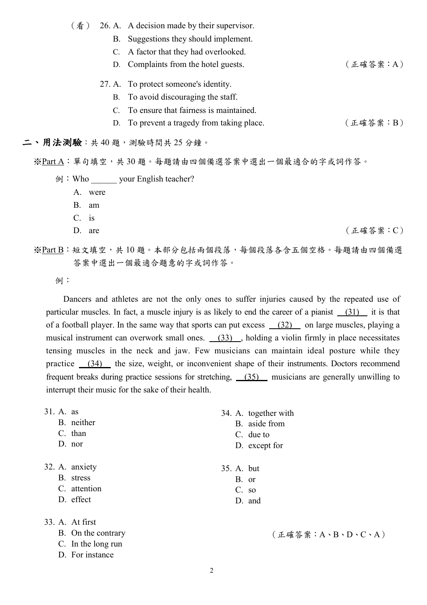- (看) 26. A. A decision made by their supervisor.
	- B. Suggestions they should implement.
	- C. A factor that they had overlooked.
	- D. Complaints from the hotel guests. (正確答案:A)
	- 27. A. To protect someone's identity.
		- B. To avoid discouraging the staff.
		- C. To ensure that fairness is maintained.
		- D. To prevent a tragedy from taking place.  $( \pm \frac{1}{2} \times \frac{1}{2} + \frac{1}{2} \times \frac{1}{2} + \frac{1}{2} \times \frac{1}{2} + \frac{1}{2} \times \frac{1}{2} + \frac{1}{2} \times \frac{1}{2} + \frac{1}{2} \times \frac{1}{2} + \frac{1}{2} \times \frac{1}{2} + \frac{1}{2} \times \frac{1}{2} + \frac{1}{2} \times \frac{1}{2} + \frac{1}{2} \times \frac{1}{2} + \frac{$

#### 二、用法測驗:共40題,測驗時間共25分鐘。

※Part A:單句填空,共 30 題。每題請由四個備選答案中選出一個最適合的字或詞作答。

- 例: Who \_\_\_\_\_\_\_ your English teacher?
	- A. were
	- B. am
	- C. is
	-
	- D. are (正確答案: C)
- ※Part B:短文填空,共 10 題。本部分包括兩個段落,每個段落各含五個空格。每題請由四個備選 答案中選出一個最適合題意的字或詞作答。
	- 例:

 Dancers and athletes are not the only ones to suffer injuries caused by the repeated use of particular muscles. In fact, a muscle injury is as likely to end the career of a pianist (31) it is that of a football player. In the same way that sports can put excess  $(32)$  on large muscles, playing a musical instrument can overwork small ones. (33) , holding a violin firmly in place necessitates tensing muscles in the neck and jaw. Few musicians can maintain ideal posture while they practice  $(34)$  the size, weight, or inconvenient shape of their instruments. Doctors recommend frequent breaks during practice sessions for stretching,  $(35)$  musicians are generally unwilling to interrupt their music for the sake of their health.

- 31. A. as
	- B. neither
	- C. than
	- D. nor

32. A. anxiety

- B. stress
- C. attention
- D. effect

33. A. At first

- B. On the contrary
- C. In the long run
- D. For instance
- 34. A. together with
	- B. aside from
	- C. due to
	- D. except for
- 35. A. but
	- B. or
	- C. so
	- D. and

(正確答案:A、B、D、C、A)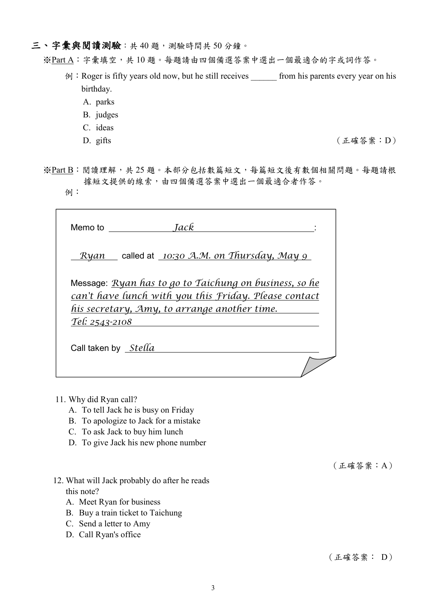## 三、字彙與閱讀測驗:共40題,測驗時間共50分鐘。

※Part A:字彙填空,共 10 題。每題請由四個備選答案中選出一個最適合的字或詞作答。

- 例: Roger is fifty years old now, but he still receives from his parents every year on his birthday.
	- A. parks
	- B. judges
	- C. ideas
	-

D. gifts (正確答案: D)

※Part B: 閱讀理解,共 25 題。本部分包括數篇短文,每篇短文後有數個相關問題。每題請根 據短文提供的線索,由四個備選答案中選出一個最適合者作答。

例:

| <b>Jack</b><br>Memo to <b>Memo</b>                                                                                                                                                       |
|------------------------------------------------------------------------------------------------------------------------------------------------------------------------------------------|
| Ryan called at 10:30 A.M. on Thursday, May 9                                                                                                                                             |
| Message: <i>Ryan has to go to Taichung on business, so he</i><br>can't have lunch with you this Friday. Please contact<br>his secretary, Amy, to arrange another time.<br>Tel: 2543-2108 |
| Call taken by Stella                                                                                                                                                                     |

- 11. Why did Ryan call?
	- A. To tell Jack he is busy on Friday
	- B. To apologize to Jack for a mistake
	- C. To ask Jack to buy him lunch
	- D. To give Jack his new phone number

# 12. What will Jack probably do after he reads this note?

- A. Meet Ryan for business
- B. Buy a train ticket to Taichung
- C. Send a letter to Amy
- D. Call Ryan's office

(正確答案:A)

# (正確答案: D)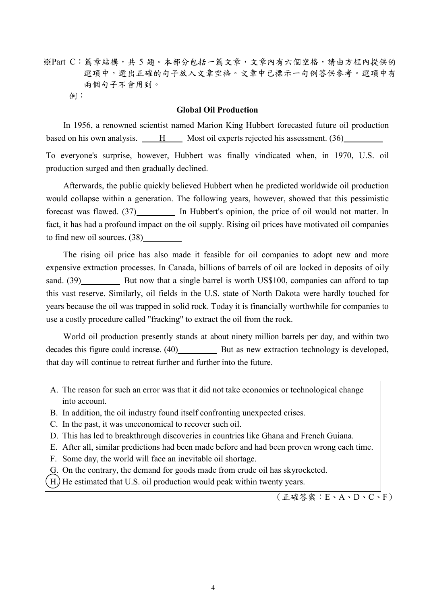※Part C:篇章結構,共 5 題。本部分包括一篇文章,文章內有六個空格,請由方框內提供的 選項中,選出正確的句子放入文章空格。文章中已標示一句例答供參考。選項中有 兩個句子不會用到。 例:

#### **Global Oil Production**

In 1956, a renowned scientist named Marion King Hubbert forecasted future oil production based on his own analysis.  $\qquad$  H Most oil experts rejected his assessment. (36)

To everyone's surprise, however, Hubbert was finally vindicated when, in 1970, U.S. oil production surged and then gradually declined.

Afterwards, the public quickly believed Hubbert when he predicted worldwide oil production would collapse within a generation. The following years, however, showed that this pessimistic forecast was flawed. (37) In Hubbert's opinion, the price of oil would not matter. In fact, it has had a profound impact on the oil supply. Rising oil prices have motivated oil companies to find new oil sources. (38)

The rising oil price has also made it feasible for oil companies to adopt new and more expensive extraction processes. In Canada, billions of barrels of oil are locked in deposits of oily sand. (39) But now that a single barrel is worth US\$100, companies can afford to tap this vast reserve. Similarly, oil fields in the U.S. state of North Dakota were hardly touched for years because the oil was trapped in solid rock. Today it is financially worthwhile for companies to use a costly procedure called "fracking" to extract the oil from the rock.

World oil production presently stands at about ninety million barrels per day, and within two decades this figure could increase.  $(40)$  But as new extraction technology is developed, that day will continue to retreat further and further into the future.

- A. The reason for such an error was that it did not take economics or technological change into account.
- B. In addition, the oil industry found itself confronting unexpected crises.
- C. In the past, it was uneconomical to recover such oil.
- D. This has led to breakthrough discoveries in countries like Ghana and French Guiana.
- E. After all, similar predictions had been made before and had been proven wrong each time.
- F. Some day, the world will face an inevitable oil shortage.
- G. On the contrary, the demand for goods made from crude oil has skyrocketed.
- H.) He estimated that U.S. oil production would peak within twenty years.

 $($ 正確答案:  $E \cdot A \cdot D \cdot C \cdot F)$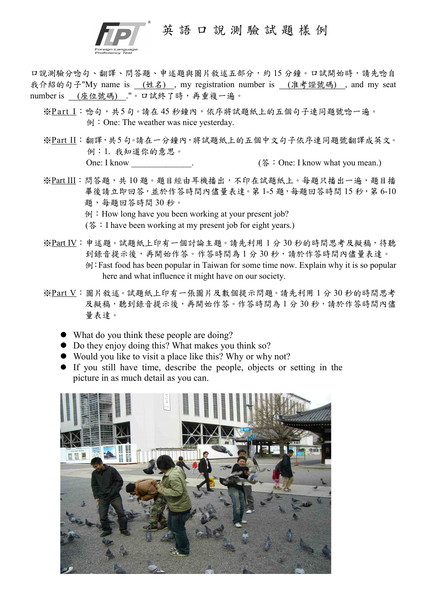

口說測驗分唸句、翻譯、問答題、申述題與圖片敘述五部分,約 15 分鐘。口試開始時,請先唸自 我介紹的句子"My name is (姓名) , my registration number is (准考證號碼) , and my seat number is (座位號碼) ."。口試終了時,再重複一遍。

- ※Part I:唸句,共5句。請在45秒鐘內,依序將試題紙上的五個句子連同題號唸一遍。 例:One: The weather was nice yesterday.
- ※Part II:翻譯,共5 句。請在一分鐘內,將試題紙上的五個中文句子依序連同題號翻譯成英文。 例:1. 我知道你的意思。 One: I know contract the contract of the contract (答: One: I know what you mean.)
- ※Part III:問答題,共10題。題目經由耳機播出,不印在試題紙上。每題只播出一遍,題目播 畢後請立即回答,並於作答時間內儘量表達。第1-5題,每題回答時間15秒,第6-10 題,每題回答時間 30 秒。
	- $\varphi$ : How long have you been working at your present job?
	- (答: I have been working at my present job for eight years.)
- ※Part IV:申述題。試題紙上印有一個討論主題。請先利用1分30秒的時間思考及擬稿,待聽 到錄音提示後,再開始作答。作答時間為1分30秒,請於作答時間內儘量表達。 例:Fast food has been popular in Taiwan for some time now. Explain why it is so popular here and what influence it might have on our society.
- ※Part V:圖片敘述。試題紙上印有一張圖片及數個提示問題。請先利用 1 分 30 秒的時間思考 及擬稿,聽到錄音提示後,再開始作答。作答時間為1分30秒,請於作答時間內儘 量表達。
	- What do you think these people are doing?
	- Do they enjoy doing this? What makes you think so?
	- Would you like to visit a place like this? Why or why not?
	- If you still have time, describe the people, objects or setting in the picture in as much detail as you can.